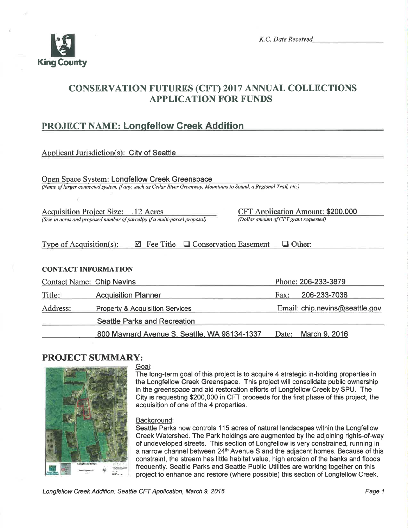

# CONSERVATTON FUTURES (CFT) 2017 ANNUAL COLLECTTONS **APPLICATION FOR FUNDS**

## PROJECT NAME: Longfellow Creek Addition

|                                                                                                                                                                       | <b>Applicant Jurisdiction(s): City of Seattle</b>                           |                                        |               |                                          |  |
|-----------------------------------------------------------------------------------------------------------------------------------------------------------------------|-----------------------------------------------------------------------------|----------------------------------------|---------------|------------------------------------------|--|
| Open Space System: Longfellow Creek Greenspace<br>(Name of larger connected system, if any, such as Cedar River Greenway, Mountains to Sound, a Regional Trail, etc.) |                                                                             |                                        |               |                                          |  |
|                                                                                                                                                                       | Acquisition Project Size: .12 Acres                                         |                                        |               | <b>CFT Application Amount: \$200,000</b> |  |
|                                                                                                                                                                       | (Size in acres and proposed number of parcel(s) if a multi-parcel proposal) | (Dollar amount of CFT grant requested) |               |                                          |  |
| Type of Acquisition(s):<br><b>CONTACT INFORMATION</b>                                                                                                                 | □ Conservation Easement<br>Fee Title<br>М                                   |                                        | $\Box$ Other: |                                          |  |
| <b>Contact Name: Chip Nevins</b>                                                                                                                                      |                                                                             |                                        |               | Phone: 206-233-3879                      |  |
| Title:                                                                                                                                                                | <b>Acquisition Planner</b>                                                  |                                        | Fax:          | 206-233-7038                             |  |
| Address:                                                                                                                                                              | <b>Property &amp; Acquisition Services</b>                                  |                                        |               | Email: chip.nevins@seattle.gov           |  |
|                                                                                                                                                                       | <b>Seattle Parks and Recreation</b>                                         |                                        |               |                                          |  |
|                                                                                                                                                                       | 800 Maynard Avenue S, Seattle, WA 98134-1337                                |                                        | Date:         | March 9, 2016                            |  |

## PROJECT SUMMARY:



## Goal:

The long-term goal of this project is to acquire 4 strategic in-holding properties in the Longfellow Creek Greenspace. This project will consolidate public ownership in the greenspace and aid restoration efforts of Longfellow Creek by SPU. The City is requesting \$200,000 in CFT proceeds for the first phase of this project, the acquisition of one of the 4 properties.

#### Backqround:

Seattle Parks now controls 1 15 acres of natural landscapes within the Longfellow Creek Watershed. The Park holdings are augmented by the adjoining rights-of-way of undeveloped streets. This section of Longfellow is very constrained, running in a narrow channel between 24<sup>th</sup> Avenue S and the adjacent homes. Because of this constraint, the stream has little habitat value, high erosion of the banks and floods frequently. Seattle Parks and Seattle Public Utilities are working together on this project to enhance and restore (where possible) this section of Longfellow Creek.

Longfellow Creek Addition: Seattle CFT Application, March 9, 2016 **Page 1** Page 1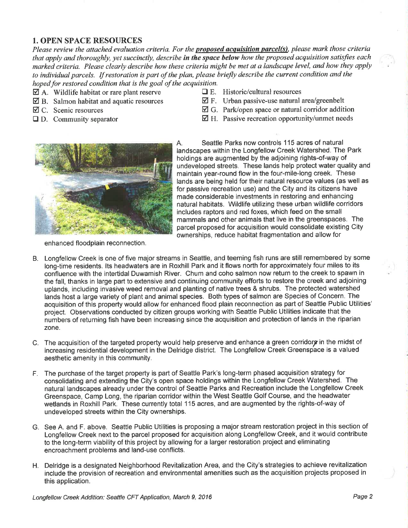### 1. OPEN SPACE RESOURCES

Please review the attached evaluation criteria. For the **proposed acquisition parcel(s)**, please mark those criteria that apply and thoroughly, yet succinctly, describe in the space below how the proposed acquisition satisfies each marked criteria. Please clearly describe how these criteria might be met at a landscape level, and how they apply to individual parcels. If restoration is part of the plan, please briefly describe the current condition and the hoped for restored condition that is the goal of the acquisition.

- $\Box$  A. Wildlife habitat or rare plant reserve  $\Box$  E. Historic/cultural resources
- 
- 
- 
- 
- $\boxtimes$  B. Salmon habitat and aquatic resources  $\boxtimes$  F. Urban passive-use natural area/greenbelt  $\boxtimes$  C. Scenic resources  $\boxtimes$  G. Park/open space or natural corridor addit
	- $\boxtimes$  G. Park/open space or natural corridor addition
- $\Box$  D. Community separator  $\Box$  H. Passive recreation opportunity/unmet needs



enhanced floodplain reconnection.

A. Seattle Parks now controls 1 15 acres of natural landscapes within the Longfellow Creek Watershed. The Park holdings are augmented by the adjoining rights-of-way of undeveloped streets. These lands help protect water quality and maintain year-round flow in the four-mile-long creek. These lands are being held for their natural resource values (as well as for passive recreation use) and the City and its citizens have made considerable investments in restoring and enhancing natural habitats. Wildlife utilizing these urban wildlife corridors includes raptors and red foxes, which feed on the small mammals and other animals that live in the greenspaces. The parcel proposed for acquisition would consolidate existing City ownerships, reduce habitat fragmentation and allow for

- B. Longfellow Creek is one of five major streams in Seattle, and teeming fish runs are still remembered by some long-time residents. Its headwaters are in Roxhill Park and it flows north for approximately four miles to its confluence with the intertidal Duwamish River. Chum and coho salmon now return to the creek to spawn in the fall, thanks in large part to extensive and continuing community efforts to restore the creek and adjoining uplands, including invasive weed removal and planting of native trees & shrubs. The protected watershed lands host a large variety of plant and animal species. Both types of salmon are Species of Concern. The acquisition of this property would allow for enhanced flood plain reconnection as part of Seattle Public Utilities' project. Observations conducted by citizen groups working with Seattle Public Utilities indicate that the numbers of returning fish have been increasing since the acquisition and protection of lands in the riparian zone.
- C. The acquisition of the targeted property would help preserve and enhance a green corridors in the midst of increasing residential development in the Delridge district. The Longfellow Creek Greenspãce is a valued aesthetic amenity in this community.
- F. The purchase of the target property is part of Seattle Park's long-term phased acquisition strategy for consolidating and extending the City's open space holdings within the Longfellow Creek Watershed. The natural landscapes already under the control of Seattle Parks and Recreation include the Longfellow Creek Greenspace, Camp Long, the riparian corridor within the West Seattle Golf Course, and the headwater wetlands in Roxhill Park. These currently total 115 acres, and are augmented by the rights-of-way of undeveloped streets within the City ownerships.
- G. See A. and F. above. Seattle Public Utilities is proposing a major stream restoration project in this section of Longfellow Creek next to the parcel proposed for acquisition along Longfellow Creek, and it would contribute to the long-term viability of this project by allowing for a larger restoration project and eliminating encroachment problems and land-use conflicts.
- H. Delridge is a designated Neighborhood Revitalization Area, and the City's strategies to achieve revitalization include the provision of recreation and environmental amenities such as the acquisition projects proposed in this application.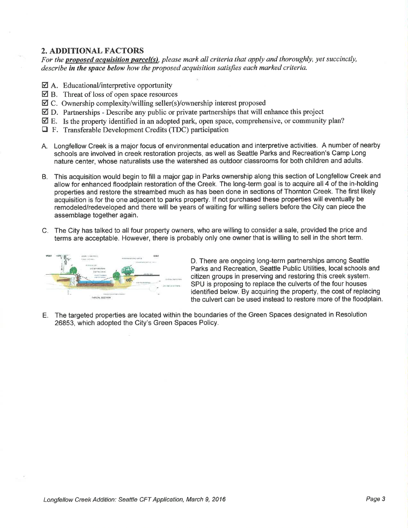## 2. ADDITIONAL FACTORS

For the proposed acquisition parcel(s), please mark all criteria that apply and thoroughly, yet succinctly, describe in the space below how the proposed acquisition satisfies each marked criteria.

- $\boxtimes$  A. Educational/interpretive opportunity
- $\boxtimes$  B. Threat of loss of open space resources
- Øc. Ownership complexity/willing seller(s)/ownership interest proposed
- ☑ D. Partnerships Describe any public or private partnerships that will enhance this project
- $\boxtimes$  E. Is the property identified in an adopted park, open space, comprehensive, or community plan?
- $\Box$  F. Transferable Development Credits (TDC) participation
- A. Longfellow Creek is a major focus of environmental education and interpretive activities. A number of nearby schools are involved in creek restoration projects, as well as Seattle Parks and Recreation's Camp Long nature center, whose naturalists use the watershed as outdoor classrooms for both children and adults.
- B. This acquisition would begin to fill a major gap in Parks ownership along this section of Longfellow Creek and allow for enhanced floodplain restoration of the Creek. The long-term goal is to acquire all 4 of the in-holding properties and restore the streambed much as has been done in sections of Thornton Creek. The first likely acquisition is for the one adjacent to parks property. lf not purchased these properties will eventually be remodeled/redeveloped and there will be years of waiting for willing sellers before the City can piece the assemblage together again.
- C. The City has talked to all four property owners, who are willing to consider a sale, provided the price and terms are acceptable. However, there is probably only one owner that is willing to sell in the short term.



D. There are ongoing long-term partnerships among Seattle Parks and Recreation, Seattle Public Utilities, local schools and citizen groups in preserving and restoring this creek system. SPU is proposing to replace the culverts of the four houses identified below. By acquiring the property, the cost of replacing the culvert can be used instead to restore more of the floodplain.

E. The targeted properties are located within the boundaries of the Green Spaces designated in Resolution 26853, which adopted the City's Green Spaces Policy.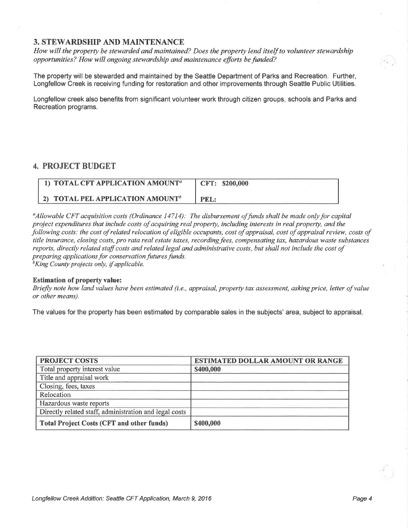#### 3. STEWARDSHIP AND MAINTENANCE

How will the property be stewarded and maintained? Does the property lend itself to volunteer stewardship opportunities? How will ongoing stewardship and maintenance efforts befunded?

The property will be stewarded and maintained by the Seattle Department of Parks and Recreation. Further, Longfellow Creek is receiving funding for restoration and other improvements through Seattle Public Utilities.

Longfellow creek also benefits from significant volunteer work through citizen groups, schools and Parks and Recreation programs.

#### 4. PROJECT BUDGET

| 1) TOTAL CFT APPLICATION AMOUNT <sup>a</sup>        | CFT: \$200,000 |
|-----------------------------------------------------|----------------|
| <b>2) TOTAL PEL APPLICATION AMOUNT</b> <sup>b</sup> | <b>PEL:</b>    |

 $\alpha_A$ llowable CFT acquisition costs (Ordinance 14714): The disbursement of funds shall be made only for capital project expenditures that include costs of acquiring real property, lncluding interests in real property, and the following costs: the cost of related relocation of eligible occupants, cost of appraisal, cost of appraisal review, costs of title insurance, closing costs, pro rata real estate taxes, recording fees, compensating tax, hazardous waste substances reports, directly related staff costs and related legal and administrative costs, but shall not include the cost of preparing applications for conservation futures funds.<br><sup>b</sup>King County projects only, if applicable.

#### Estimation of property value:

Briefly note how land values have been estimated (i.e., appraisal, property tax assessment, asking price, letter of value or other means).

The values for the property has been estimated by comparable sales in the subjects' area, subject to appraisal.

| <b>PROJECT COSTS</b>                                   | <b>ESTIMATED DOLLAR AMOUNT OR RANGE</b> |  |  |
|--------------------------------------------------------|-----------------------------------------|--|--|
| Total property interest value                          | \$400,000                               |  |  |
| Title and appraisal work                               |                                         |  |  |
| Closing, fees, taxes                                   |                                         |  |  |
| Relocation                                             |                                         |  |  |
| Hazardous waste reports                                |                                         |  |  |
| Directly related staff, administration and legal costs |                                         |  |  |
| <b>Total Project Costs (CFT and other funds)</b>       | \$400,000                               |  |  |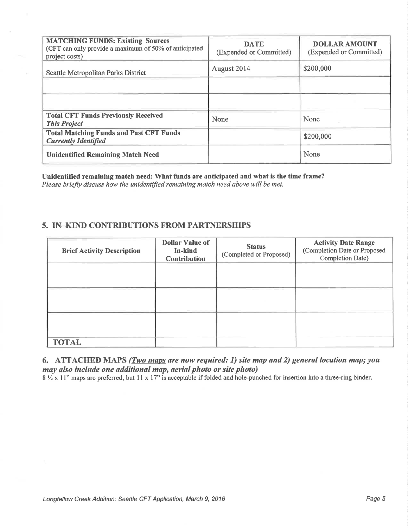| <b>MATCHING FUNDS: Existing Sources</b><br>(CFT can only provide a maximum of 50% of anticipated<br>project costs) | <b>DATE</b><br>(Expended or Committed) | <b>DOLLAR AMOUNT</b><br>(Expended or Committed) |
|--------------------------------------------------------------------------------------------------------------------|----------------------------------------|-------------------------------------------------|
| Seattle Metropolitan Parks District                                                                                | August 2014                            | \$200,000                                       |
|                                                                                                                    |                                        |                                                 |
|                                                                                                                    |                                        |                                                 |
| <b>Total CFT Funds Previously Received</b><br><b>This Project</b>                                                  | None                                   | None                                            |
| <b>Total Matching Funds and Past CFT Funds</b><br><b>Currently Identified</b>                                      |                                        | \$200,000                                       |
| <b>Unidentified Remaining Match Need</b>                                                                           |                                        | None                                            |

Unidentified remaining match need: What funds are anticipated and what is the time frame? Please briefly discuss how the unidentified remaining match need above will be met.

### 5. IN-KIND CONTRIBUTIONS FROM PARTNERSHIPS

| <b>Brief Activity Description</b> | <b>Dollar Value of</b><br>In-kind<br><b>Contribution</b> | <b>Status</b><br>(Completed or Proposed) | <b>Activity Date Range</b><br>(Completion Date or Proposed<br><b>Completion Date)</b> |
|-----------------------------------|----------------------------------------------------------|------------------------------------------|---------------------------------------------------------------------------------------|
|                                   |                                                          |                                          |                                                                                       |
|                                   |                                                          |                                          |                                                                                       |
|                                   |                                                          |                                          |                                                                                       |
| <b>TOTAL</b>                      |                                                          |                                          |                                                                                       |

6. ATTACHED MAPS (Two maps are now required: 1) site map and 2) general location map; you may also include one additional map, aerial photo or site photo)

8  $\frac{1}{2}$  x 11" maps are preferred, but 11 x 17" is acceptable if folded and hole-punched for insertion into a three-ring binder.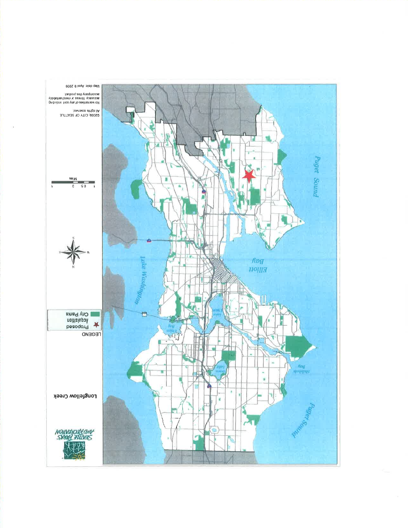